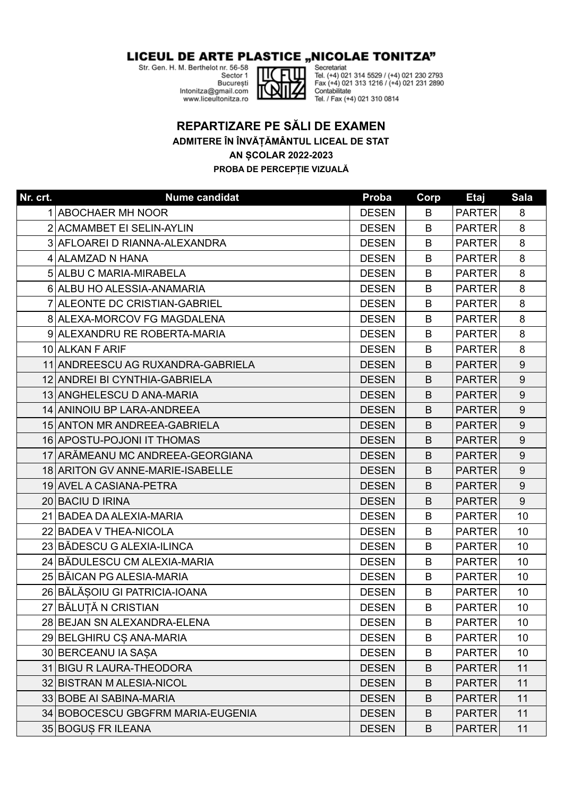## LICEUL DE ARTE PLASTICE "NICOLAE TONITZA"

Str. Gen. H. M. Berthelot nr. 56-58<br>Str. Gen. H. M. Berthelot nr. 56-58

București Intonitza@gmail.com www.liceultonitza.ro



Secretariat<br>Tel. (+4) 021 314 5529 / (+4) 021 230 2793<br>Fax (+4) 021 313 1216 / (+4) 021 231 2890<br>Contabilitate Contabilitate Tel. / Fax (+4) 021 310 0814

## **REPARTIZARE PE SĂLI DE EXAMEN**

**ADMITERE ÎN ÎNVĂȚĂMÂNTUL LICEAL DE STAT**

## **AN ȘCOLAR 2022-2023**

**PROBA DE PERCEPȚIE VIZUALĂ**

| Nr. crt. | <b>Nume candidat</b>              | Proba        | Corp | <b>Etaj</b>   | <b>Sala</b>      |
|----------|-----------------------------------|--------------|------|---------------|------------------|
|          | 1 ABOCHAER MH NOOR                | <b>DESEN</b> | B    | <b>PARTER</b> | 8                |
|          | 2 ACMAMBET EI SELIN-AYLIN         | <b>DESEN</b> | B    | <b>PARTER</b> | 8                |
|          | 3 AFLOAREI D RIANNA-ALEXANDRA     | <b>DESEN</b> | B    | <b>PARTER</b> | 8                |
|          | 4 ALAMZAD N HANA                  | <b>DESEN</b> | B    | <b>PARTER</b> | 8                |
|          | 5 ALBU C MARIA-MIRABELA           | <b>DESEN</b> | B    | <b>PARTER</b> | 8                |
|          | 6 ALBU HO ALESSIA-ANAMARIA        | <b>DESEN</b> | B    | <b>PARTER</b> | 8                |
|          | 7 ALEONTE DC CRISTIAN-GABRIEL     | <b>DESEN</b> | B    | <b>PARTER</b> | 8                |
|          | 8 ALEXA-MORCOV FG MAGDALENA       | <b>DESEN</b> | B    | <b>PARTER</b> | 8                |
|          | 9 ALEXANDRU RE ROBERTA-MARIA      | <b>DESEN</b> | B    | <b>PARTER</b> | 8                |
|          | 10 ALKAN F ARIF                   | <b>DESEN</b> | B    | <b>PARTER</b> | 8                |
|          | 11 ANDREESCU AG RUXANDRA-GABRIELA | <b>DESEN</b> | B    | <b>PARTER</b> | 9                |
|          | 12 ANDREI BI CYNTHIA-GABRIELA     | <b>DESEN</b> | B    | <b>PARTER</b> | 9                |
|          | 13 ANGHELESCU D ANA-MARIA         | <b>DESEN</b> | B    | <b>PARTER</b> | 9                |
|          | 14 ANINOIU BP LARA-ANDREEA        | <b>DESEN</b> | B    | <b>PARTER</b> | 9                |
|          | 15 ANTON MR ANDREEA-GABRIELA      | <b>DESEN</b> | B    | <b>PARTER</b> | 9                |
|          | 16 APOSTU-POJONI IT THOMAS        | <b>DESEN</b> | B    | <b>PARTER</b> | 9                |
|          | 17 ARĂMEANU MC ANDREEA-GEORGIANA  | <b>DESEN</b> | B    | <b>PARTER</b> | 9                |
|          | 18 ARITON GV ANNE-MARIE-ISABELLE  | <b>DESEN</b> | B    | <b>PARTER</b> | 9                |
|          | 19 AVEL A CASIANA-PETRA           | <b>DESEN</b> | B    | <b>PARTER</b> | $\boldsymbol{9}$ |
|          | 20 BACIU D IRINA                  | <b>DESEN</b> | B    | <b>PARTER</b> | 9                |
|          | 21 BADEA DA ALEXIA-MARIA          | <b>DESEN</b> | B    | <b>PARTER</b> | 10               |
|          | 22 BADEA V THEA-NICOLA            | <b>DESEN</b> | B    | <b>PARTER</b> | 10               |
|          | 23 BĂDESCU G ALEXIA-ILINCA        | <b>DESEN</b> | B    | <b>PARTER</b> | 10 <sup>1</sup>  |
|          | 24 BĂDULESCU CM ALEXIA-MARIA      | <b>DESEN</b> | B    | <b>PARTER</b> | 10               |
|          | 25 BĂICAN PG ALESIA-MARIA         | <b>DESEN</b> | B    | <b>PARTER</b> | 10               |
|          | 26 BĂLĂSOIU GI PATRICIA-IOANA     | <b>DESEN</b> | B    | <b>PARTER</b> | 10               |
|          | 27 BĂLUȚĂ N CRISTIAN              | <b>DESEN</b> | B    | <b>PARTER</b> | 10               |
|          | 28 BEJAN SN ALEXANDRA-ELENA       | <b>DESEN</b> | B    | <b>PARTER</b> | 10               |
|          | 29 BELGHIRU CS ANA-MARIA          | <b>DESEN</b> | B    | <b>PARTER</b> | 10               |
|          | 30 BERCEANU IA SAȘA               | <b>DESEN</b> | B    | <b>PARTER</b> | 10               |
|          | 31 BIGU R LAURA-THEODORA          | <b>DESEN</b> | B    | <b>PARTER</b> | 11               |
|          | 32 BISTRAN M ALESIA-NICOL         | <b>DESEN</b> | B    | <b>PARTER</b> | 11               |
|          | 33 BOBE AI SABINA-MARIA           | <b>DESEN</b> | B    | <b>PARTER</b> | 11               |
|          | 34 BOBOCESCU GBGFRM MARIA-EUGENIA | <b>DESEN</b> | B    | <b>PARTER</b> | 11               |
|          | 35 BOGUS FR ILEANA                | <b>DESEN</b> | B    | <b>PARTER</b> | 11               |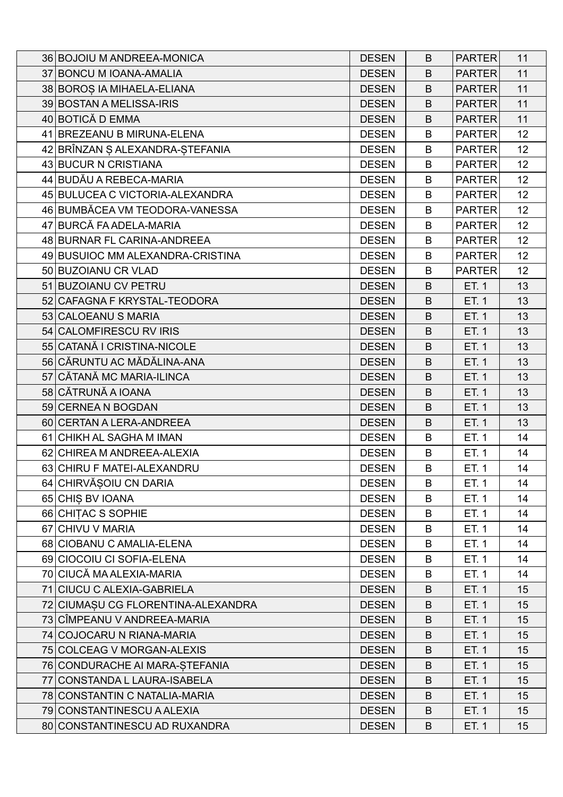| 36 BOJOIU M ANDREEA-MONICA         | <b>DESEN</b> | B | <b>PARTER</b> | 11              |
|------------------------------------|--------------|---|---------------|-----------------|
| 37 BONCU M IOANA-AMALIA            | <b>DESEN</b> | B | <b>PARTER</b> | 11              |
| 38 BOROS IA MIHAELA-ELIANA         | <b>DESEN</b> | B | <b>PARTER</b> | 11              |
| 39 BOSTAN A MELISSA-IRIS           | <b>DESEN</b> | B | <b>PARTER</b> | 11              |
| 40 BOTICĂ D EMMA                   | <b>DESEN</b> | B | <b>PARTER</b> | 11              |
| 41 BREZEANU B MIRUNA-ELENA         | <b>DESEN</b> | B | <b>PARTER</b> | 12              |
| 42 BRÎNZAN Ş ALEXANDRA-ŞTEFANIA    | <b>DESEN</b> | B | <b>PARTER</b> | 12 <sub>2</sub> |
| 43 BUCUR N CRISTIANA               | <b>DESEN</b> | B | <b>PARTER</b> | 12 <sub>2</sub> |
| 44 BUDĂU A REBECA-MARIA            | <b>DESEN</b> | B | <b>PARTER</b> | 12              |
| 45 BULUCEA C VICTORIA-ALEXANDRA    | <b>DESEN</b> | B | <b>PARTER</b> | 12 <sub>2</sub> |
| 46 BUMBĂCEA VM TEODORA-VANESSA     | <b>DESEN</b> | B | <b>PARTER</b> | 12              |
| 47 BURCĂ FA ADELA-MARIA            | <b>DESEN</b> | B | <b>PARTER</b> | 12              |
| 48 BURNAR FL CARINA-ANDREEA        | <b>DESEN</b> | B | <b>PARTER</b> | 12 <sub>2</sub> |
| 49 BUSUIOC MM ALEXANDRA-CRISTINA   | <b>DESEN</b> | B | <b>PARTER</b> | 12 <sub>2</sub> |
| 50 BUZOIANU CR VLAD                | <b>DESEN</b> | B | <b>PARTER</b> | 12 <sub>2</sub> |
| 51 BUZOIANU CV PETRU               | <b>DESEN</b> | B | ET. 1         | 13              |
| 52 CAFAGNA F KRYSTAL-TEODORA       | <b>DESEN</b> | B | ET. 1         | 13              |
| 53 CALOEANU S MARIA                | <b>DESEN</b> | B | ET. 1         | 13              |
| 54 CALOMFIRESCU RV IRIS            | <b>DESEN</b> | B | ET. 1         | 13              |
| 55 CATANĂ I CRISTINA-NICOLE        | <b>DESEN</b> | B | ET. 1         | 13              |
| 56 CĂRUNTU AC MĂDĂLINA-ANA         | <b>DESEN</b> | B | ET. 1         | 13              |
| 57 CĂTANĂ MC MARIA-ILINCA          | <b>DESEN</b> | B | ET. 1         | 13              |
| 58 CĂTRUNĂ A IOANA                 | <b>DESEN</b> | B | ET. 1         | 13              |
| 59 CERNEA N BOGDAN                 | <b>DESEN</b> | B | ET. 1         | 13              |
| 60 CERTAN A LERA-ANDREEA           | <b>DESEN</b> | B | ET. 1         | 13              |
| 61 CHIKH AL SAGHA M IMAN           | <b>DESEN</b> | B | ET. 1         | 14              |
| 62 CHIREA M ANDREEA-ALEXIA         | <b>DESEN</b> | B | ET. 1         | 14              |
| 63 CHIRU F MATEI-ALEXANDRU         | <b>DESEN</b> | B | ET. 1         | 14              |
| 64 CHIRVĂȘOIU CN DARIA             | <b>DESEN</b> | B | ET. 1         | 14              |
| 65 CHIS BV IOANA                   | <b>DESEN</b> | B | ET. 1         | 14              |
| 66 CHITAC S SOPHIE                 | <b>DESEN</b> | B | ET. 1         | 14              |
| 67 CHIVU V MARIA                   | <b>DESEN</b> | B | ET. 1         | 14              |
| 68 CIOBANU C AMALIA-ELENA          | <b>DESEN</b> | B | ET. 1         | 14              |
| 69 CIOCOIU CI SOFIA-ELENA          | <b>DESEN</b> | B | ET. 1         | 14              |
| 70 CIUCĂ MA ALEXIA-MARIA           | <b>DESEN</b> | B | ET. 1         | 14              |
| 71 CIUCU C ALEXIA-GABRIELA         | <b>DESEN</b> | B | ET. 1         | 15              |
| 72 CIUMAȘU CG FLORENTINA-ALEXANDRA | <b>DESEN</b> | B | ET. 1         | 15              |
| 73 CÎMPEANU V ANDREEA-MARIA        | <b>DESEN</b> | B | ET. 1         | 15              |
| 74 COJOCARU N RIANA-MARIA          | <b>DESEN</b> | B | ET. 1         | 15              |
| 75 COLCEAG V MORGAN-ALEXIS         | <b>DESEN</b> | B | ET. 1         | 15              |
| 76 CONDURACHE AI MARA-STEFANIA     | <b>DESEN</b> | B | ET. 1         | 15              |
| 77 CONSTANDA L LAURA-ISABELA       | <b>DESEN</b> | B | ET. 1         | 15              |
| 78 CONSTANTIN C NATALIA-MARIA      | <b>DESEN</b> | B | ET. 1         | 15              |
| 79 CONSTANTINESCU A ALEXIA         | <b>DESEN</b> | B | ET. 1         | 15              |
| 80 CONSTANTINESCU AD RUXANDRA      | <b>DESEN</b> | B | ET. 1         | 15              |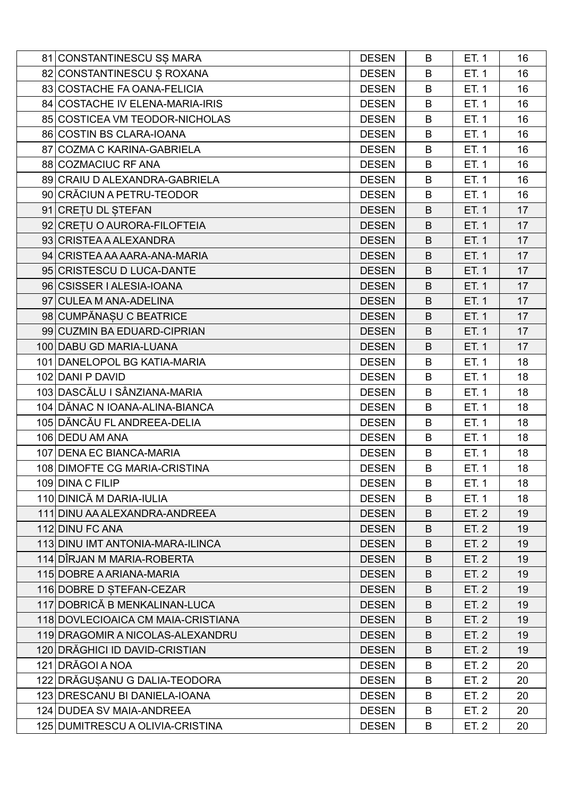| 81 CONSTANTINESCU SȘ MARA          | <b>DESEN</b> | B | ET. 1 | 16 |
|------------------------------------|--------------|---|-------|----|
| 82 CONSTANTINESCU Ș ROXANA         | <b>DESEN</b> | B | ET. 1 | 16 |
| 83 COSTACHE FA OANA-FELICIA        | <b>DESEN</b> | B | ET. 1 | 16 |
| 84 COSTACHE IV ELENA-MARIA-IRIS    | <b>DESEN</b> | B | ET. 1 | 16 |
| 85 COSTICEA VM TEODOR-NICHOLAS     | <b>DESEN</b> | B | ET. 1 | 16 |
| 86 COSTIN BS CLARA-IOANA           | <b>DESEN</b> | B | ET. 1 | 16 |
| 87 COZMA C KARINA-GABRIELA         | <b>DESEN</b> | B | ET. 1 | 16 |
| 88 COZMACIUC RF ANA                | <b>DESEN</b> | B | ET. 1 | 16 |
| 89 CRAIU D ALEXANDRA-GABRIELA      | <b>DESEN</b> | B | ET. 1 | 16 |
| 90 CRĂCIUN A PETRU-TEODOR          | <b>DESEN</b> | B | ET. 1 | 16 |
| 91 CRETU DL STEFAN                 | <b>DESEN</b> | B | ET. 1 | 17 |
| 92 CRETU O AURORA-FILOFTEIA        | <b>DESEN</b> | B | ET. 1 | 17 |
| 93 CRISTEA A ALEXANDRA             | <b>DESEN</b> | B | ET. 1 | 17 |
| 94 CRISTEA AA AARA-ANA-MARIA       | <b>DESEN</b> | B | ET. 1 | 17 |
| 95 CRISTESCU D LUCA-DANTE          | <b>DESEN</b> | B | ET. 1 | 17 |
| 96 CSISSER   ALESIA-IOANA          | <b>DESEN</b> | B | ET. 1 | 17 |
| 97 CULEA M ANA-ADELINA             | <b>DESEN</b> | B | ET. 1 | 17 |
| 98 CUMPĂNAȘU C BEATRICE            | <b>DESEN</b> | B | ET. 1 | 17 |
| 99 CUZMIN BA EDUARD-CIPRIAN        | <b>DESEN</b> | B | ET. 1 | 17 |
| 100 DABU GD MARIA-LUANA            | <b>DESEN</b> | B | ET. 1 | 17 |
| 101 DANELOPOL BG KATIA-MARIA       | <b>DESEN</b> | B | ET. 1 | 18 |
| 102 DANI P DAVID                   | <b>DESEN</b> | B | ET. 1 | 18 |
| 103 DASCĂLU I SÂNZIANA-MARIA       | <b>DESEN</b> | B | ET. 1 | 18 |
| 104 DĂNAC N IOANA-ALINA-BIANCA     | <b>DESEN</b> | B | ET. 1 | 18 |
| 105 DĂNCĂU FL ANDREEA-DELIA        | <b>DESEN</b> | B | ET. 1 | 18 |
| 106 DEDU AM ANA                    | <b>DESEN</b> | B | ET. 1 | 18 |
| 107 DENA EC BIANCA-MARIA           | <b>DESEN</b> | B | ET. 1 | 18 |
| 108 DIMOFTE CG MARIA-CRISTINA      | <b>DESEN</b> | B | ET. 1 | 18 |
| 109 DINA C FILIP                   | <b>DESEN</b> | B | ET. 1 | 18 |
| 110 DINICĂ M DARIA-IULIA           | <b>DESEN</b> | B | ET. 1 | 18 |
| 111 DINU AA ALEXANDRA-ANDREEA      | <b>DESEN</b> | B | ET. 2 | 19 |
| 112 DINU FC ANA                    | <b>DESEN</b> | B | ET. 2 | 19 |
| 113 DINU IMT ANTONIA-MARA-ILINCA   | <b>DESEN</b> | B | ET. 2 | 19 |
| 114 DÎRJAN M MARIA-ROBERTA         | <b>DESEN</b> | B | ET. 2 | 19 |
| 115 DOBRE A ARIANA-MARIA           | <b>DESEN</b> | B | ET. 2 | 19 |
| 116 DOBRE D STEFAN-CEZAR           | <b>DESEN</b> | B | ET. 2 | 19 |
| 117 DOBRICĂ B MENKALINAN-LUCA      | <b>DESEN</b> | B | ET. 2 | 19 |
| 118 DOVLECIOAICA CM MAIA-CRISTIANA | <b>DESEN</b> | B | ET. 2 | 19 |
| 119 DRAGOMIR A NICOLAS-ALEXANDRU   | <b>DESEN</b> | B | ET. 2 | 19 |
| 120 DRĂGHICI ID DAVID-CRISTIAN     | <b>DESEN</b> | B | ET. 2 | 19 |
| 121 DRĂGOI A NOA                   | <b>DESEN</b> | B | ET. 2 | 20 |
| 122 DRĂGUȘANU G DALIA-TEODORA      | <b>DESEN</b> | B | ET. 2 | 20 |
| 123 DRESCANU BI DANIELA-IOANA      | <b>DESEN</b> | B | ET. 2 | 20 |
| 124 DUDEA SV MAIA-ANDREEA          | <b>DESEN</b> | B | ET. 2 | 20 |
| 125 DUMITRESCU A OLIVIA-CRISTINA   | <b>DESEN</b> | B | ET. 2 | 20 |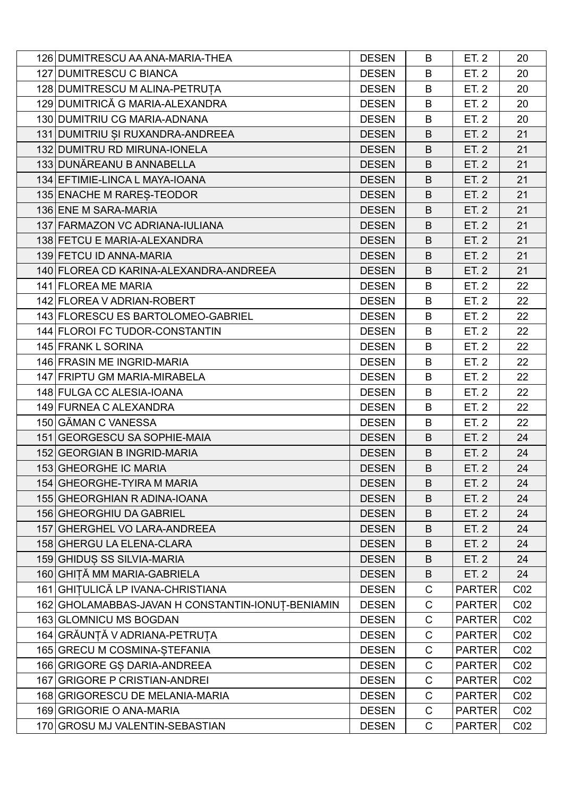| 126 DUMITRESCU AA ANA-MARIA-THEA                  | <b>DESEN</b> | B           | ET. 2         | 20              |
|---------------------------------------------------|--------------|-------------|---------------|-----------------|
| 127 DUMITRESCU C BIANCA                           | <b>DESEN</b> | B           | ET. 2         | 20              |
| 128 DUMITRESCU M ALINA-PETRUȚA                    | <b>DESEN</b> | B           | ET. 2         | 20              |
| 129 DUMITRICĂ G MARIA-ALEXANDRA                   | <b>DESEN</b> | B           | ET. 2         | 20              |
| 130 DUMITRIU CG MARIA-ADNANA                      | <b>DESEN</b> | B           | ET. 2         | 20              |
| 131 DUMITRIU ȘI RUXANDRA-ANDREEA                  | <b>DESEN</b> | B           | ET. 2         | 21              |
| 132 DUMITRU RD MIRUNA-IONELA                      | <b>DESEN</b> | B           | ET. 2         | 21              |
| 133 DUNĂREANU B ANNABELLA                         | <b>DESEN</b> | B           | ET. 2         | 21              |
| 134 EFTIMIE-LINCA L MAYA-IOANA                    | <b>DESEN</b> | B           | ET. 2         | 21              |
| 135 ENACHE M RARES-TEODOR                         | <b>DESEN</b> | B           | ET. 2         | 21              |
| 136 ENE M SARA-MARIA                              | <b>DESEN</b> | B           | ET. 2         | 21              |
| 137 FARMAZON VC ADRIANA-IULIANA                   | <b>DESEN</b> | B           | ET. 2         | 21              |
| 138 FETCU E MARIA-ALEXANDRA                       | <b>DESEN</b> | B           | ET. 2         | 21              |
| 139 FETCU ID ANNA-MARIA                           | <b>DESEN</b> | B           | ET. 2         | 21              |
| 140 FLOREA CD KARINA-ALEXANDRA-ANDREEA            | <b>DESEN</b> | B           | ET. 2         | 21              |
| 141 FLOREA ME MARIA                               | <b>DESEN</b> | B           | ET. 2         | 22              |
| 142 FLOREA V ADRIAN-ROBERT                        | <b>DESEN</b> | B           | ET. 2         | 22              |
| 143 FLORESCU ES BARTOLOMEO-GABRIEL                | <b>DESEN</b> | B           | ET. 2         | 22              |
| 144 FLOROI FC TUDOR-CONSTANTIN                    | <b>DESEN</b> | B           | ET. 2         | 22              |
| 145 FRANK L SORINA                                | <b>DESEN</b> | B           | ET. 2         | 22              |
| 146 FRASIN ME INGRID-MARIA                        | <b>DESEN</b> | B           | ET. 2         | 22              |
| 147 FRIPTU GM MARIA-MIRABELA                      | <b>DESEN</b> | B           | ET. 2         | 22              |
| 148 FULGA CC ALESIA-IOANA                         | <b>DESEN</b> | B           | ET. 2         | 22              |
| 149 FURNEA C ALEXANDRA                            | <b>DESEN</b> | B           | ET. 2         | 22              |
| 150 GĂMAN C VANESSA                               | <b>DESEN</b> | B           | ET. 2         | 22              |
| 151 GEORGESCU SA SOPHIE-MAIA                      | <b>DESEN</b> | B           | ET. 2         | 24              |
| 152 GEORGIAN B INGRID-MARIA                       | <b>DESEN</b> | B           | ET. 2         | 24              |
| 153 GHEORGHE IC MARIA                             | <b>DESEN</b> | B           | ET. 2         | 24              |
| 154 GHEORGHE-TYIRA M MARIA                        | <b>DESEN</b> | B           | ET. 2         | 24              |
| 155 GHEORGHIAN R ADINA-IOANA                      | <b>DESEN</b> | B           | ET. 2         | 24              |
| 156 GHEORGHIU DA GABRIEL                          | <b>DESEN</b> | B           | ET. 2         | 24              |
| 157 GHERGHEL VO LARA-ANDREEA                      | <b>DESEN</b> | B           | ET. 2         | 24              |
| 158 GHERGU LA ELENA-CLARA                         | <b>DESEN</b> | B           | ET. 2         | 24              |
| 159 GHIDUS SS SILVIA-MARIA                        | <b>DESEN</b> | B           | ET. 2         | 24              |
| 160 GHITĂ MM MARIA-GABRIELA                       | <b>DESEN</b> | B           | ET. 2         | 24              |
| 161 GHITULICĂ LP IVANA-CHRISTIANA                 | <b>DESEN</b> | C           | <b>PARTER</b> | CO <sub>2</sub> |
| 162 GHOLAMABBAS-JAVAN H CONSTANTIN-IONUT-BENIAMIN | <b>DESEN</b> | C           | <b>PARTER</b> | CO <sub>2</sub> |
| 163 GLOMNICU MS BOGDAN                            | <b>DESEN</b> | C           | <b>PARTER</b> | CO <sub>2</sub> |
| 164 GRĂUNȚĂ V ADRIANA-PETRUȚA                     | <b>DESEN</b> | C           | <b>PARTER</b> | CO <sub>2</sub> |
| 165 GRECU M COSMINA-STEFANIA                      | <b>DESEN</b> | $\mathsf C$ | <b>PARTER</b> | CO <sub>2</sub> |
| 166 GRIGORE GS DARIA-ANDREEA                      | <b>DESEN</b> | C           | <b>PARTER</b> | CO <sub>2</sub> |
| 167 GRIGORE P CRISTIAN-ANDREI                     | <b>DESEN</b> | C           | <b>PARTER</b> | CO <sub>2</sub> |
| 168 GRIGORESCU DE MELANIA-MARIA                   | <b>DESEN</b> | $\mathsf C$ | <b>PARTER</b> | CO <sub>2</sub> |
| 169 GRIGORIE O ANA-MARIA                          | <b>DESEN</b> | C           | <b>PARTER</b> | CO <sub>2</sub> |
| 170 GROSU MJ VALENTIN-SEBASTIAN                   | <b>DESEN</b> | C           | <b>PARTER</b> | CO <sub>2</sub> |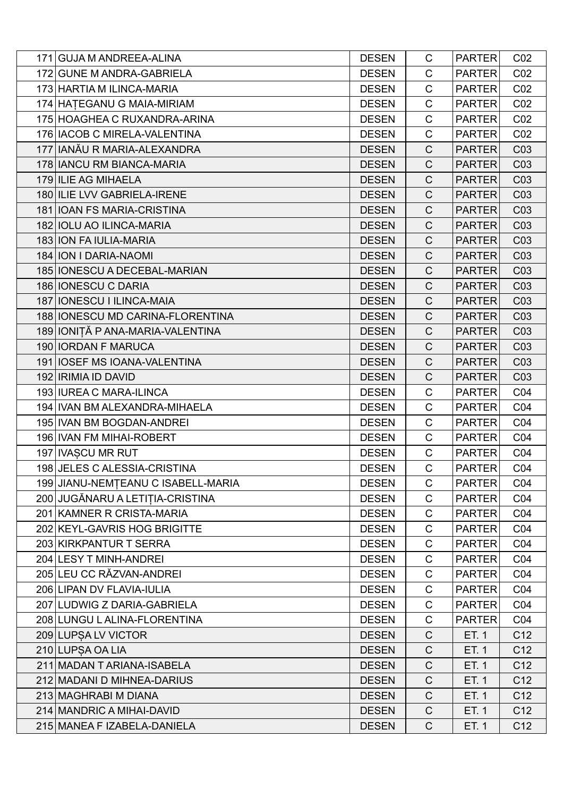| 171 GUJA M ANDREEA-ALINA           | <b>DESEN</b> | C            | <b>PARTER</b> | CO <sub>2</sub> |
|------------------------------------|--------------|--------------|---------------|-----------------|
| 172 GUNE M ANDRA-GABRIELA          | <b>DESEN</b> | $\mathsf{C}$ | <b>PARTER</b> | CO <sub>2</sub> |
| 173 HARTIA M ILINCA-MARIA          | <b>DESEN</b> | $\mathsf{C}$ | <b>PARTER</b> | CO <sub>2</sub> |
| 174 HATEGANU G MAIA-MIRIAM         | <b>DESEN</b> | $\mathsf C$  | <b>PARTER</b> | CO <sub>2</sub> |
| 175 HOAGHEA C RUXANDRA-ARINA       | <b>DESEN</b> | $\mathsf{C}$ | <b>PARTER</b> | CO <sub>2</sub> |
| 176   IACOB C MIRELA-VALENTINA     | <b>DESEN</b> | $\mathsf C$  | <b>PARTER</b> | CO <sub>2</sub> |
| 177 IANĂU R MARIA-ALEXANDRA        | <b>DESEN</b> | C            | <b>PARTER</b> | C <sub>03</sub> |
| 178 IANCU RM BIANCA-MARIA          | <b>DESEN</b> | $\mathsf{C}$ | <b>PARTER</b> | C03             |
| 179 ILIE AG MIHAELA                | <b>DESEN</b> | $\mathsf{C}$ | <b>PARTER</b> | C <sub>03</sub> |
| 180 ILIE LVV GABRIELA-IRENE        | <b>DESEN</b> | $\mathsf{C}$ | <b>PARTER</b> | C <sub>03</sub> |
| 181   IOAN FS MARIA-CRISTINA       | <b>DESEN</b> | $\mathsf{C}$ | <b>PARTER</b> | C03             |
| 182 IOLU AO ILINCA-MARIA           | <b>DESEN</b> | $\mathsf{C}$ | <b>PARTER</b> | C <sub>03</sub> |
| 183 ION FAIULIA-MARIA              | <b>DESEN</b> | $\mathsf{C}$ | <b>PARTER</b> | C <sub>03</sub> |
| 184 ION I DARIA-NAOMI              | <b>DESEN</b> | $\mathsf C$  | <b>PARTER</b> | C03             |
| 185   IONESCU A DECEBAL-MARIAN     | <b>DESEN</b> | $\mathsf{C}$ | <b>PARTER</b> | C <sub>03</sub> |
| 186 IONESCU C DARIA                | <b>DESEN</b> | $\mathsf C$  | <b>PARTER</b> | C <sub>03</sub> |
| 187   IONESCU I ILINCA-MAIA        | <b>DESEN</b> | $\mathsf C$  | <b>PARTER</b> | C <sub>03</sub> |
| 188   IONESCU MD CARINA-FLORENTINA | <b>DESEN</b> | $\mathsf{C}$ | <b>PARTER</b> | CO <sub>3</sub> |
| 189 IONIȚĂ P ANA-MARIA-VALENTINA   | <b>DESEN</b> | $\mathsf{C}$ | <b>PARTER</b> | C <sub>03</sub> |
| 190 IORDAN F MARUCA                | <b>DESEN</b> | $\mathsf C$  | <b>PARTER</b> | C03             |
| 191   IOSEF MS IOANA-VALENTINA     | <b>DESEN</b> | $\mathsf{C}$ | <b>PARTER</b> | C <sub>03</sub> |
| 192   IRIMIA ID DAVID              | <b>DESEN</b> | $\mathsf{C}$ | <b>PARTER</b> | C <sub>03</sub> |
| 193 IUREA C MARA-ILINCA            | <b>DESEN</b> | $\mathsf{C}$ | <b>PARTER</b> | CO <sub>4</sub> |
| 194 IVAN BM ALEXANDRA-MIHAELA      | <b>DESEN</b> | $\mathsf C$  | <b>PARTER</b> | CO <sub>4</sub> |
| 195 IVAN BM BOGDAN-ANDREI          | <b>DESEN</b> | $\mathsf{C}$ | <b>PARTER</b> | CO <sub>4</sub> |
| 196 IVAN FM MIHAI-ROBERT           | <b>DESEN</b> | $\mathsf{C}$ | <b>PARTER</b> | CO <sub>4</sub> |
| 197 IVASCU MR RUT                  | <b>DESEN</b> | $\mathsf C$  | <b>PARTER</b> | CO <sub>4</sub> |
| 198 JELES C ALESSIA-CRISTINA       | <b>DESEN</b> | $\mathsf C$  | <b>PARTER</b> | CO <sub>4</sub> |
| 199 JIANU-NEMȚEANU C ISABELL-MARIA | <b>DESEN</b> | C            | <b>PARTER</b> | CO <sub>4</sub> |
| 200 JUGĂNARU A LETIȚIA-CRISTINA    | <b>DESEN</b> | C            | <b>PARTER</b> | CO <sub>4</sub> |
| 201 KAMNER R CRISTA-MARIA          | <b>DESEN</b> | C            | <b>PARTER</b> | CO <sub>4</sub> |
| 202 KEYL-GAVRIS HOG BRIGITTE       | <b>DESEN</b> | $\mathsf C$  | <b>PARTER</b> | CO <sub>4</sub> |
| 203 KIRKPANTUR T SERRA             | <b>DESEN</b> | $\mathsf C$  | <b>PARTER</b> | CO <sub>4</sub> |
| 204 LESY T MINH-ANDREI             | <b>DESEN</b> | C            | <b>PARTER</b> | CO <sub>4</sub> |
| 205 LEU CC RĂZVAN-ANDREI           | <b>DESEN</b> | C            | <b>PARTER</b> | CO <sub>4</sub> |
| 206 LIPAN DV FLAVIA-IULIA          | <b>DESEN</b> | $\mathsf C$  | <b>PARTER</b> | CO <sub>4</sub> |
| 207 LUDWIG Z DARIA-GABRIELA        | <b>DESEN</b> | C            | <b>PARTER</b> | CO <sub>4</sub> |
| 208 LUNGU L ALINA-FLORENTINA       | <b>DESEN</b> | $\mathsf{C}$ | <b>PARTER</b> | CO <sub>4</sub> |
| 209 LUPSA LV VICTOR                | <b>DESEN</b> | $\mathsf{C}$ | ET. 1         | C12             |
| 210 LUPSA OA LIA                   | <b>DESEN</b> | $\mathsf{C}$ | ET. 1         | C <sub>12</sub> |
| 211 MADAN T ARIANA-ISABELA         | <b>DESEN</b> | $\mathsf C$  | ET. 1         | C <sub>12</sub> |
| 212 MADANI D MIHNEA-DARIUS         | <b>DESEN</b> | $\mathsf{C}$ | ET. 1         | C <sub>12</sub> |
| 213 MAGHRABI M DIANA               | <b>DESEN</b> | $\mathsf{C}$ | ET. 1         | C <sub>12</sub> |
| 214 MANDRIC A MIHAI-DAVID          | <b>DESEN</b> | $\mathsf C$  | ET. 1         | C <sub>12</sub> |
| 215 MANEA F IZABELA-DANIELA        | <b>DESEN</b> | $\mathsf{C}$ | ET. 1         | C12             |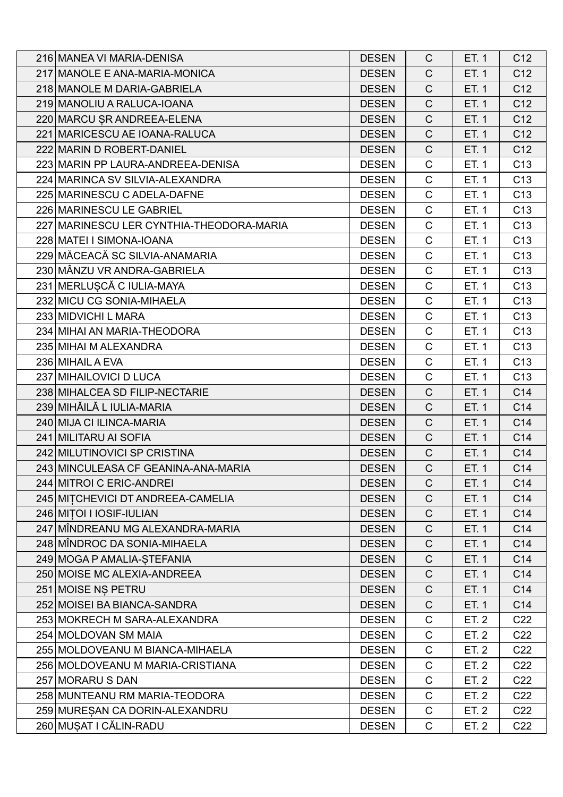| 216 MANEA VI MARIA-DENISA                | <b>DESEN</b> | C            | ET. 1 | C12             |
|------------------------------------------|--------------|--------------|-------|-----------------|
| 217 MANOLE E ANA-MARIA-MONICA            | <b>DESEN</b> | $\mathsf{C}$ | ET. 1 | C <sub>12</sub> |
| 218 MANOLE M DARIA-GABRIELA              | <b>DESEN</b> | $\mathsf C$  | ET. 1 | C12             |
| 219 MANOLIU A RALUCA-IOANA               | <b>DESEN</b> | $\mathsf C$  | ET. 1 | C <sub>12</sub> |
| 220 MARCU ȘR ANDREEA-ELENA               | <b>DESEN</b> | $\mathsf{C}$ | ET. 1 | C <sub>12</sub> |
| 221 MARICESCU AE IOANA-RALUCA            | <b>DESEN</b> | $\mathsf{C}$ | ET. 1 | C12             |
| 222 MARIN D ROBERT-DANIEL                | <b>DESEN</b> | $\mathsf C$  | ET. 1 | C <sub>12</sub> |
| 223 MARIN PP LAURA-ANDREEA-DENISA        | <b>DESEN</b> | $\mathsf C$  | ET. 1 | C <sub>13</sub> |
| 224 MARINCA SV SILVIA-ALEXANDRA          | <b>DESEN</b> | $\mathsf C$  | ET. 1 | C <sub>13</sub> |
| 225 MARINESCU C ADELA-DAFNE              | <b>DESEN</b> | $\mathsf C$  | ET. 1 | C <sub>13</sub> |
| 226 MARINESCU LE GABRIEL                 | <b>DESEN</b> | $\mathsf C$  | ET. 1 | C <sub>13</sub> |
| 227 MARINESCU LER CYNTHIA-THEODORA-MARIA | <b>DESEN</b> | $\mathsf C$  | ET. 1 | C <sub>13</sub> |
| 228 MATEI I SIMONA-IOANA                 | <b>DESEN</b> | $\mathsf C$  | ET. 1 | C <sub>13</sub> |
| 229 MĂCEACĂ SC SILVIA-ANAMARIA           | <b>DESEN</b> | $\mathsf C$  | ET. 1 | C <sub>13</sub> |
| 230 MÂNZU VR ANDRA-GABRIELA              | <b>DESEN</b> | $\mathsf C$  | ET. 1 | C <sub>13</sub> |
| 231 MERLUȘCĂ C IULIA-MAYA                | <b>DESEN</b> | $\mathsf C$  | ET. 1 | C <sub>13</sub> |
| 232 MICU CG SONIA-MIHAELA                | <b>DESEN</b> | $\mathsf C$  | ET. 1 | C <sub>13</sub> |
| 233 MIDVICHI L MARA                      | <b>DESEN</b> | $\mathsf C$  | ET. 1 | C <sub>13</sub> |
| 234 MIHAI AN MARIA-THEODORA              | <b>DESEN</b> | $\mathsf C$  | ET. 1 | C <sub>13</sub> |
| 235 MIHAI M ALEXANDRA                    | <b>DESEN</b> | C            | ET. 1 | C <sub>13</sub> |
| 236 MIHAIL A EVA                         | <b>DESEN</b> | $\mathsf C$  | ET. 1 | C <sub>13</sub> |
| 237 MIHAILOVICI D LUCA                   | <b>DESEN</b> | $\mathsf{C}$ | ET. 1 | C <sub>13</sub> |
| 238 MIHALCEA SD FILIP-NECTARIE           | <b>DESEN</b> | $\mathsf{C}$ | ET. 1 | C14             |
| 239 MIHĂILĂ L IULIA-MARIA                | <b>DESEN</b> | $\mathsf C$  | ET. 1 | C14             |
| 240 MIJA CI ILINCA-MARIA                 | <b>DESEN</b> | $\mathsf{C}$ | ET. 1 | C14             |
| 241 MILITARU AI SOFIA                    | <b>DESEN</b> | $\mathsf C$  | ET. 1 | C14             |
| 242 MILUTINOVICI SP CRISTINA             | <b>DESEN</b> | $\mathsf C$  | ET. 1 | C14             |
| 243 MINCULEASA CF GEANINA-ANA-MARIA      | <b>DESEN</b> | $\mathsf C$  | ET. 1 | C14             |
| 244 MITROI C ERIC-ANDREI                 | <b>DESEN</b> | C            | ET. 1 | C14             |
| 245 MITCHEVICI DT ANDREEA-CAMELIA        | <b>DESEN</b> | $\mathsf{C}$ | ET. 1 | C14             |
| 246 MITOI I IOSIF-IULIAN                 | <b>DESEN</b> | $\mathsf C$  | ET. 1 | C14             |
| 247 MÎNDREANU MG ALEXANDRA-MARIA         | <b>DESEN</b> | C            | ET. 1 | C14             |
| 248 MÎNDROC DA SONIA-MIHAELA             | <b>DESEN</b> | $\mathsf C$  | ET. 1 | C14             |
| 249 MOGA P AMALIA-STEFANIA               | <b>DESEN</b> | $\mathsf{C}$ | ET. 1 | C14             |
| 250 MOISE MC ALEXIA-ANDREEA              | <b>DESEN</b> | C            | ET. 1 | C14             |
| 251 MOISE NS PETRU                       | <b>DESEN</b> | $\mathsf C$  | ET. 1 | C14             |
| 252 MOISEI BA BIANCA-SANDRA              | <b>DESEN</b> | $\mathsf C$  | ET. 1 | C14             |
| 253 MOKRECH M SARA-ALEXANDRA             | <b>DESEN</b> | C            | ET. 2 | C <sub>22</sub> |
| 254 MOLDOVAN SM MAIA                     | <b>DESEN</b> | C            | ET. 2 | C <sub>22</sub> |
| 255 MOLDOVEANU M BIANCA-MIHAELA          | <b>DESEN</b> | $\mathsf C$  | ET. 2 | C <sub>22</sub> |
| 256 MOLDOVEANU M MARIA-CRISTIANA         | <b>DESEN</b> | C            | ET. 2 | C <sub>22</sub> |
| 257 MORARU S DAN                         | <b>DESEN</b> | C            | ET. 2 | C <sub>22</sub> |
| 258 MUNTEANU RM MARIA-TEODORA            | <b>DESEN</b> | C            | ET. 2 | C <sub>22</sub> |
| 259 MURESAN CA DORIN-ALEXANDRU           | <b>DESEN</b> | $\mathsf C$  | ET. 2 | C <sub>22</sub> |
| 260 MUŞAT I CĂLIN-RADU                   | <b>DESEN</b> | C            | ET. 2 | C <sub>22</sub> |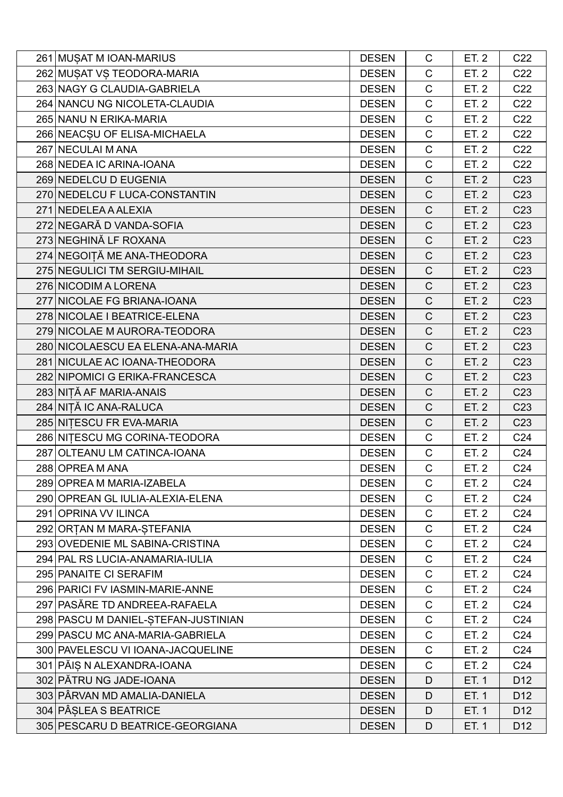| 261 MUSAT M IOAN-MARIUS             | <b>DESEN</b> | C            | ET. 2        | C <sub>22</sub> |
|-------------------------------------|--------------|--------------|--------------|-----------------|
| 262 MUSAT VS TEODORA-MARIA          | <b>DESEN</b> | $\mathsf C$  | ET. 2        | C <sub>22</sub> |
| 263 NAGY G CLAUDIA-GABRIELA         | <b>DESEN</b> | $\mathsf C$  | ET. 2        | C <sub>22</sub> |
| 264 NANCU NG NICOLETA-CLAUDIA       | <b>DESEN</b> | $\mathsf{C}$ | ET. 2        | C <sub>22</sub> |
| 265 NANU N ERIKA-MARIA              | <b>DESEN</b> | $\mathsf C$  | ET. 2        | C <sub>22</sub> |
| 266 NEACSU OF ELISA-MICHAELA        | <b>DESEN</b> | $\mathsf C$  | ET. 2        | C <sub>22</sub> |
| 267 NECULAI M ANA                   | <b>DESEN</b> | $\mathsf{C}$ | ET. 2        | C <sub>22</sub> |
| 268 NEDEA IC ARINA-IOANA            | <b>DESEN</b> | $\mathsf C$  | ET. 2        | C <sub>22</sub> |
| 269 NEDELCU D EUGENIA               | <b>DESEN</b> | $\mathsf{C}$ | ET. 2        | C <sub>23</sub> |
| 270 NEDELCU F LUCA-CONSTANTIN       | <b>DESEN</b> | $\mathsf{C}$ | ET. 2        | C <sub>23</sub> |
| 271 NEDELEA A ALEXIA                | <b>DESEN</b> | $\mathsf C$  | ET. 2        | C <sub>23</sub> |
| 272 NEGARĂ D VANDA-SOFIA            | <b>DESEN</b> | $\mathsf{C}$ | <b>ET. 2</b> | C <sub>23</sub> |
| 273 NEGHINĂ LF ROXANA               | <b>DESEN</b> | $\mathsf{C}$ | ET. 2        | C <sub>23</sub> |
| 274 NEGOITĂ ME ANA-THEODORA         | <b>DESEN</b> | $\mathsf{C}$ | ET. 2        | C <sub>23</sub> |
| 275 NEGULICI TM SERGIU-MIHAIL       | <b>DESEN</b> | $\mathsf{C}$ | ET. 2        | C <sub>23</sub> |
| 276 NICODIM A LORENA                | <b>DESEN</b> | $\mathsf{C}$ | ET. 2        | C <sub>23</sub> |
| 277 NICOLAE FG BRIANA-IOANA         | <b>DESEN</b> | $\mathsf C$  | ET. 2        | C <sub>23</sub> |
| 278 NICOLAE I BEATRICE-ELENA        | <b>DESEN</b> | $\mathsf C$  | ET. 2        | C <sub>23</sub> |
| 279 NICOLAE M AURORA-TEODORA        | <b>DESEN</b> | $\mathsf{C}$ | ET. 2        | C <sub>23</sub> |
| 280 NICOLAESCU EA ELENA-ANA-MARIA   | <b>DESEN</b> | $\mathsf{C}$ | ET. 2        | C <sub>23</sub> |
| 281 NICULAE AC IOANA-THEODORA       | <b>DESEN</b> | $\mathsf C$  | ET. 2        | C <sub>23</sub> |
| 282 NIPOMICI G ERIKA-FRANCESCA      | <b>DESEN</b> | $\mathsf{C}$ | ET. 2        | C <sub>23</sub> |
| 283 NIȚĂ AF MARIA-ANAIS             | <b>DESEN</b> | $\mathsf C$  | ET. 2        | C <sub>23</sub> |
| 284 NIȚĂ IC ANA-RALUCA              | <b>DESEN</b> | $\mathsf C$  | ET. 2        | C <sub>23</sub> |
| 285 NITESCU FR EVA-MARIA            | <b>DESEN</b> | $\mathsf{C}$ | ET. 2        | C <sub>23</sub> |
| 286 NITESCU MG CORINA-TEODORA       | <b>DESEN</b> | $\mathsf{C}$ | ET. 2        | C <sub>24</sub> |
| 287 OLTEANU LM CATINCA-IOANA        | <b>DESEN</b> | $\mathsf{C}$ | ET. 2        | C <sub>24</sub> |
| 288 OPREA M ANA                     | <b>DESEN</b> | $\mathsf C$  | ET. 2        | C <sub>24</sub> |
| 289 OPREA M MARIA-IZABELA           | <b>DESEN</b> | С            | ET. 2        | C <sub>24</sub> |
| 290 OPREAN GL IULIA-ALEXIA-ELENA    | <b>DESEN</b> | $\mathsf{C}$ | ET. 2        | C <sub>24</sub> |
| 291 OPRINA VV ILINCA                | <b>DESEN</b> | C            | ET. 2        | C <sub>24</sub> |
| 292 ORTAN M MARA-STEFANIA           | <b>DESEN</b> | C            | ET. 2        | C <sub>24</sub> |
| 293 OVEDENIE ML SABINA-CRISTINA     | <b>DESEN</b> | $\mathsf{C}$ | ET. 2        | C <sub>24</sub> |
| 294 PAL RS LUCIA-ANAMARIA-IULIA     | <b>DESEN</b> | C            | ET. 2        | C <sub>24</sub> |
| 295 PANAITE CI SERAFIM              | <b>DESEN</b> | C            | ET. 2        | C <sub>24</sub> |
| 296 PARICI FV IASMIN-MARIE-ANNE     | <b>DESEN</b> | C            | ET. 2        | C <sub>24</sub> |
| 297 PASĂRE TD ANDREEA-RAFAELA       | <b>DESEN</b> | C            | ET. 2        | C <sub>24</sub> |
| 298 PASCU M DANIEL-STEFAN-JUSTINIAN | <b>DESEN</b> | C            | ET. 2        | C <sub>24</sub> |
| 299 PASCU MC ANA-MARIA-GABRIELA     | <b>DESEN</b> | C            | ET. 2        | C <sub>24</sub> |
| 300 PAVELESCU VI IOANA-JACQUELINE   | <b>DESEN</b> | C            | ET. 2        | C <sub>24</sub> |
| 301 PĂIȘ N ALEXANDRA-IOANA          | <b>DESEN</b> | C            | ET. 2        | C <sub>24</sub> |
| 302 PĂTRU NG JADE-IOANA             | <b>DESEN</b> | D            | ET. 1        | D <sub>12</sub> |
| 303 PÂRVAN MD AMALIA-DANIELA        | <b>DESEN</b> | D            | ET. 1        | D <sub>12</sub> |
| 304 PÂȘLEA S BEATRICE               | <b>DESEN</b> | D            | ET. 1        | D <sub>12</sub> |
| 305 PESCARU D BEATRICE-GEORGIANA    | <b>DESEN</b> | D            | ET. 1        | D <sub>12</sub> |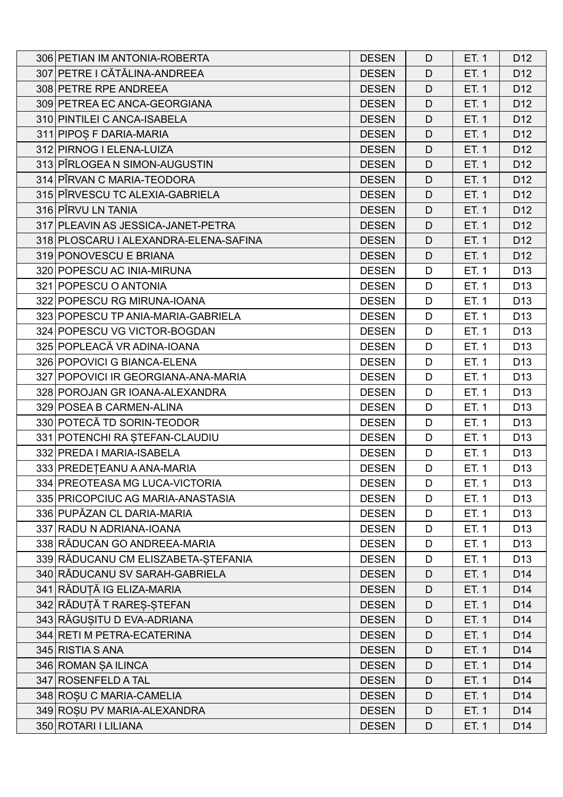| 306 PETIAN IM ANTONIA-ROBERTA         | <b>DESEN</b> | D | ET. 1 | D <sub>12</sub> |
|---------------------------------------|--------------|---|-------|-----------------|
| 307 PETRE I CĂTĂLINA-ANDREEA          | <b>DESEN</b> | D | ET. 1 | D <sub>12</sub> |
| 308 PETRE RPE ANDREEA                 | <b>DESEN</b> | D | ET. 1 | D <sub>12</sub> |
| 309 PETREA EC ANCA-GEORGIANA          | <b>DESEN</b> | D | ET. 1 | D <sub>12</sub> |
| 310 PINTILEI C ANCA-ISABELA           | <b>DESEN</b> | D | ET. 1 | D <sub>12</sub> |
| 311 PIPOS F DARIA-MARIA               | <b>DESEN</b> | D | ET. 1 | D <sub>12</sub> |
| 312 PIRNOG I ELENA-LUIZA              | <b>DESEN</b> | D | ET. 1 | D <sub>12</sub> |
| 313 PÎRLOGEA N SIMON-AUGUSTIN         | <b>DESEN</b> | D | ET. 1 | D <sub>12</sub> |
| 314 PÎRVAN C MARIA-TEODORA            | <b>DESEN</b> | D | ET. 1 | D <sub>12</sub> |
| 315 PIRVESCU TC ALEXIA-GABRIELA       | <b>DESEN</b> | D | ET. 1 | D <sub>12</sub> |
| 316 PÎRVU LN TANIA                    | <b>DESEN</b> | D | ET. 1 | D <sub>12</sub> |
| 317 PLEAVIN AS JESSICA-JANET-PETRA    | <b>DESEN</b> | D | ET. 1 | D <sub>12</sub> |
| 318 PLOSCARU I ALEXANDRA-ELENA-SAFINA | <b>DESEN</b> | D | ET. 1 | D <sub>12</sub> |
| 319 PONOVESCU E BRIANA                | <b>DESEN</b> | D | ET. 1 | D <sub>12</sub> |
| 320 POPESCU AC INIA-MIRUNA            | <b>DESEN</b> | D | ET. 1 | D <sub>13</sub> |
| 321 POPESCU O ANTONIA                 | <b>DESEN</b> | D | ET. 1 | D <sub>13</sub> |
| 322 POPESCU RG MIRUNA-IOANA           | <b>DESEN</b> | D | ET. 1 | D <sub>13</sub> |
| 323 POPESCU TP ANIA-MARIA-GABRIELA    | <b>DESEN</b> | D | ET. 1 | D <sub>13</sub> |
| 324 POPESCU VG VICTOR-BOGDAN          | <b>DESEN</b> | D | ET. 1 | D <sub>13</sub> |
| 325 POPLEACĂ VR ADINA-IOANA           | <b>DESEN</b> | D | ET. 1 | D <sub>13</sub> |
| 326 POPOVICI G BIANCA-ELENA           | <b>DESEN</b> | D | ET. 1 | D <sub>13</sub> |
| 327 POPOVICI IR GEORGIANA-ANA-MARIA   | <b>DESEN</b> | D | ET. 1 | D <sub>13</sub> |
| 328 POROJAN GR IOANA-ALEXANDRA        | <b>DESEN</b> | D | ET. 1 | D <sub>13</sub> |
| 329 POSEA B CARMEN-ALINA              | <b>DESEN</b> | D | ET. 1 | D <sub>13</sub> |
| 330 POTECĂ TD SORIN-TEODOR            | <b>DESEN</b> | D | ET. 1 | D <sub>13</sub> |
| 331 POTENCHI RA ȘTEFAN-CLAUDIU        | <b>DESEN</b> | D | ET. 1 | D <sub>13</sub> |
| 332 PREDA I MARIA-ISABELA             | <b>DESEN</b> | D | ET. 1 | D <sub>13</sub> |
| 333 PREDETEANU A ANA-MARIA            | <b>DESEN</b> | D | ET. 1 | D <sub>13</sub> |
| 334 PREOTEASA MG LUCA-VICTORIA        | <b>DESEN</b> | D | ET. 1 | D <sub>13</sub> |
| 335 PRICOPCIUC AG MARIA-ANASTASIA     | <b>DESEN</b> | D | ET. 1 | D <sub>13</sub> |
| 336 PUPĂZAN CL DARIA-MARIA            | <b>DESEN</b> | D | ET. 1 | D <sub>13</sub> |
| 337 RADU N ADRIANA-IOANA              | <b>DESEN</b> | D | ET. 1 | D <sub>13</sub> |
| 338 RĂDUCAN GO ANDREEA-MARIA          | <b>DESEN</b> | D | ET. 1 | D <sub>13</sub> |
| 339 RĂDUCANU CM ELISZABETA-ȘTEFANIA   | <b>DESEN</b> | D | ET. 1 | D <sub>13</sub> |
| 340 RĂDUCANU SV SARAH-GABRIELA        | <b>DESEN</b> | D | ET. 1 | D <sub>14</sub> |
| 341 RĂDUȚĂ IG ELIZA-MARIA             | <b>DESEN</b> | D | ET. 1 | D <sub>14</sub> |
| 342 RĂDUȚĂ T RAREȘ-ȘTEFAN             | <b>DESEN</b> | D | ET. 1 | D <sub>14</sub> |
| 343 RĂGUȘITU D EVA-ADRIANA            | <b>DESEN</b> | D | ET. 1 | D <sub>14</sub> |
| 344 RETI M PETRA-ECATERINA            | <b>DESEN</b> | D | ET. 1 | D <sub>14</sub> |
| 345 RISTIA S ANA                      | <b>DESEN</b> | D | ET. 1 | D14             |
| 346 ROMAN SAILINCA                    | <b>DESEN</b> | D | ET. 1 | D <sub>14</sub> |
| 347 ROSENFELD A TAL                   | <b>DESEN</b> | D | ET. 1 | D <sub>14</sub> |
| 348 ROȘU C MARIA-CAMELIA              | <b>DESEN</b> | D | ET. 1 | D14             |
| 349 ROSU PV MARIA-ALEXANDRA           | <b>DESEN</b> | D | ET. 1 | D <sub>14</sub> |
| 350 ROTARI I LILIANA                  | <b>DESEN</b> | D | ET. 1 | D <sub>14</sub> |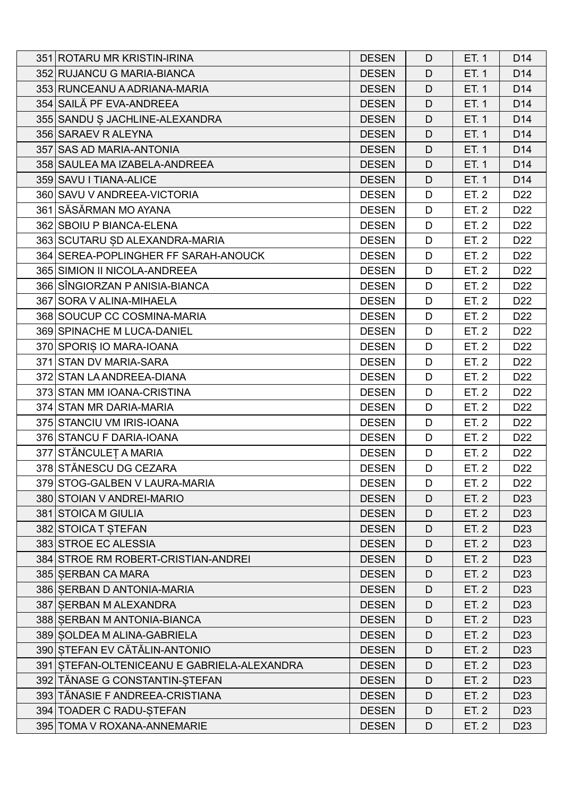| 351 ROTARU MR KRISTIN-IRINA                 | <b>DESEN</b> | D | ET. 1 | D <sub>14</sub> |
|---------------------------------------------|--------------|---|-------|-----------------|
| 352 RUJANCU G MARIA-BIANCA                  | <b>DESEN</b> | D | ET. 1 | D <sub>14</sub> |
| 353 RUNCEANU A ADRIANA-MARIA                | <b>DESEN</b> | D | ET. 1 | D <sub>14</sub> |
| 354 SAILĂ PF EVA-ANDREEA                    | <b>DESEN</b> | D | ET. 1 | D <sub>14</sub> |
| 355 SANDU S JACHLINE-ALEXANDRA              | <b>DESEN</b> | D | ET. 1 | D14             |
| 356 SARAEV R ALEYNA                         | <b>DESEN</b> | D | ET. 1 | D <sub>14</sub> |
| 357 SAS AD MARIA-ANTONIA                    | <b>DESEN</b> | D | ET. 1 | D14             |
| 358 SAULEA MA IZABELA-ANDREEA               | <b>DESEN</b> | D | ET. 1 | D14             |
| 359 SAVU I TIANA-ALICE                      | <b>DESEN</b> | D | ET. 1 | D14             |
| 360 SAVU V ANDREEA-VICTORIA                 | <b>DESEN</b> | D | ET. 2 | D <sub>22</sub> |
| 361 SĂSĂRMAN MO AYANA                       | <b>DESEN</b> | D | ET. 2 | D <sub>22</sub> |
| 362 SBOIU P BIANCA-ELENA                    | <b>DESEN</b> | D | ET. 2 | D <sub>22</sub> |
| 363 SCUTARU ȘD ALEXANDRA-MARIA              | <b>DESEN</b> | D | ET. 2 | D <sub>22</sub> |
| 364 SEREA-POPLINGHER FF SARAH-ANOUCK        | <b>DESEN</b> | D | ET. 2 | D <sub>22</sub> |
| 365 SIMION II NICOLA-ANDREEA                | <b>DESEN</b> | D | ET. 2 | D <sub>22</sub> |
| 366 SINGIORZAN P ANISIA-BIANCA              | <b>DESEN</b> | D | ET. 2 | D <sub>22</sub> |
| 367 SORA V ALINA-MIHAELA                    | <b>DESEN</b> | D | ET. 2 | D <sub>22</sub> |
| 368 SOUCUP CC COSMINA-MARIA                 | <b>DESEN</b> | D | ET. 2 | D <sub>22</sub> |
| 369 SPINACHE M LUCA-DANIEL                  | <b>DESEN</b> | D | ET. 2 | D <sub>22</sub> |
| 370 SPORIȘ IO MARA-IOANA                    | <b>DESEN</b> | D | ET. 2 | D <sub>22</sub> |
| 371 STAN DV MARIA-SARA                      | <b>DESEN</b> | D | ET. 2 | D <sub>22</sub> |
| 372 STAN LA ANDREEA-DIANA                   | <b>DESEN</b> | D | ET. 2 | D <sub>22</sub> |
| 373 STAN MM IOANA-CRISTINA                  | <b>DESEN</b> | D | ET. 2 | D <sub>22</sub> |
| 374 STAN MR DARIA-MARIA                     | <b>DESEN</b> | D | ET. 2 | D <sub>22</sub> |
| 375 STANCIU VM IRIS-IOANA                   | <b>DESEN</b> | D | ET. 2 | D <sub>22</sub> |
| 376 STANCU F DARIA-IOANA                    | <b>DESEN</b> | D | ET. 2 | D <sub>22</sub> |
| 377 STĂNCULEȚ A MARIA                       | <b>DESEN</b> | D | ET. 2 | D <sub>22</sub> |
| 378 STĂNESCU DG CEZARA                      | <b>DESEN</b> | D | ET. 2 | D <sub>22</sub> |
| 379 STOG-GALBEN V LAURA-MARIA               | <b>DESEN</b> | D | ET. 2 | D <sub>22</sub> |
| 380 STOIAN V ANDREI-MARIO                   | <b>DESEN</b> | D | ET. 2 | D <sub>23</sub> |
| 381 STOICA M GIULIA                         | <b>DESEN</b> | D | ET. 2 | D <sub>23</sub> |
| 382 STOICA T STEFAN                         | <b>DESEN</b> | D | ET. 2 | D <sub>23</sub> |
| 383 STROE EC ALESSIA                        | <b>DESEN</b> | D | ET. 2 | D <sub>23</sub> |
| 384 STROE RM ROBERT-CRISTIAN-ANDREI         | <b>DESEN</b> | D | ET. 2 | D <sub>23</sub> |
| 385 SERBAN CA MARA                          | <b>DESEN</b> | D | ET. 2 | D <sub>23</sub> |
| 386 SERBAN D ANTONIA-MARIA                  | <b>DESEN</b> | D | ET. 2 | D <sub>23</sub> |
| 387 SERBAN M ALEXANDRA                      | <b>DESEN</b> | D | ET. 2 | D <sub>23</sub> |
| 388 SERBAN M ANTONIA-BIANCA                 | <b>DESEN</b> | D | ET. 2 | D <sub>23</sub> |
| 389 SOLDEA M ALINA-GABRIELA                 | <b>DESEN</b> | D | ET. 2 | D <sub>23</sub> |
| 390 STEFAN EV CĂTĂLIN-ANTONIO               | <b>DESEN</b> | D | ET. 2 | D <sub>23</sub> |
| 391 STEFAN-OLTENICEANU E GABRIELA-ALEXANDRA | <b>DESEN</b> | D | ET. 2 | D <sub>23</sub> |
| 392 TĂNASE G CONSTANTIN-ȘTEFAN              | <b>DESEN</b> | D | ET. 2 | D <sub>23</sub> |
| 393 TĂNASIE F ANDREEA-CRISTIANA             | <b>DESEN</b> | D | ET. 2 | D <sub>23</sub> |
| 394 TOADER C RADU-STEFAN                    | <b>DESEN</b> | D | ET. 2 | D <sub>23</sub> |
| 395 TOMA V ROXANA-ANNEMARIE                 | <b>DESEN</b> | D | ET. 2 | D <sub>23</sub> |